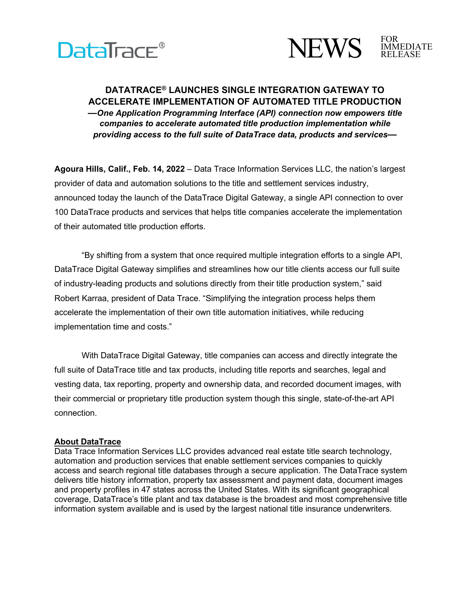



## **DATATRACE® LAUNCHES SINGLE INTEGRATION GATEWAY TO ACCELERATE IMPLEMENTATION OF AUTOMATED TITLE PRODUCTION**  *—One Application Programming Interface (API) connection now empowers title companies to accelerate automated title production implementation while providing access to the full suite of DataTrace data, products and services—*

**Agoura Hills, Calif., Feb. 14, 2022** – Data Trace Information Services LLC, the nation's largest provider of data and automation solutions to the title and settlement services industry, announced today the launch of the DataTrace Digital Gateway, a single API connection to over 100 DataTrace products and services that helps title companies accelerate the implementation of their automated title production efforts.

"By shifting from a system that once required multiple integration efforts to a single API, DataTrace Digital Gateway simplifies and streamlines how our title clients access our full suite of industry-leading products and solutions directly from their title production system," said Robert Karraa, president of Data Trace. "Simplifying the integration process helps them accelerate the implementation of their own title automation initiatives, while reducing implementation time and costs."

With DataTrace Digital Gateway, title companies can access and directly integrate the full suite of DataTrace title and tax products, including title reports and searches, legal and vesting data, tax reporting, property and ownership data, and recorded document images, with their commercial or proprietary title production system though this single, state-of-the-art API connection.

## **About DataTrace**

Data Trace Information Services LLC provides advanced real estate title search technology, automation and production services that enable settlement services companies to quickly access and search regional title databases through a secure application. The DataTrace system delivers title history information, property tax assessment and payment data, document images and property profiles in 47 states across the United States. With its significant geographical coverage, DataTrace's title plant and tax database is the broadest and most comprehensive title information system available and is used by the largest national title insurance underwriters.